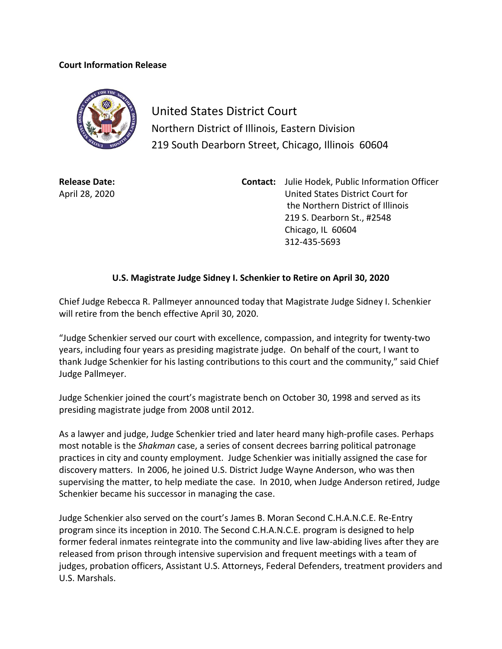## **Court Information Release**



United States District Court Northern District of Illinois, Eastern Division 219 South Dearborn Street, Chicago, Illinois 60604

**Release Date:** April 28, 2020 **Contact:** Julie Hodek, Public Information Officer United States District Court for the Northern District of Illinois 219 S. Dearborn St., #2548 Chicago, IL 60604 312-435-5693

## **U.S. Magistrate Judge Sidney I. Schenkier to Retire on April 30, 2020**

Chief Judge Rebecca R. Pallmeyer announced today that Magistrate Judge Sidney I. Schenkier will retire from the bench effective April 30, 2020.

"Judge Schenkier served our court with excellence, compassion, and integrity for twenty-two years, including four years as presiding magistrate judge. On behalf of the court, I want to thank Judge Schenkier for his lasting contributions to this court and the community," said Chief Judge Pallmeyer.

Judge Schenkier joined the court's magistrate bench on October 30, 1998 and served as its presiding magistrate judge from 2008 until 2012.

As a lawyer and judge, Judge Schenkier tried and later heard many high-profile cases. Perhaps most notable is the *Shakman* case, a series of consent decrees barring political patronage practices in city and county employment. Judge Schenkier was initially assigned the case for discovery matters. In 2006, he joined U.S. District Judge Wayne Anderson, who was then supervising the matter, to help mediate the case. In 2010, when Judge Anderson retired, Judge Schenkier became his successor in managing the case.

Judge Schenkier also served on the court's James B. Moran Second C.H.A.N.C.E. Re-Entry program since its inception in 2010. The Second C.H.A.N.C.E. program is designed to help former federal inmates reintegrate into the community and live law-abiding lives after they are released from prison through intensive supervision and frequent meetings with a team of judges, probation officers, Assistant U.S. Attorneys, Federal Defenders, treatment providers and U.S. Marshals.